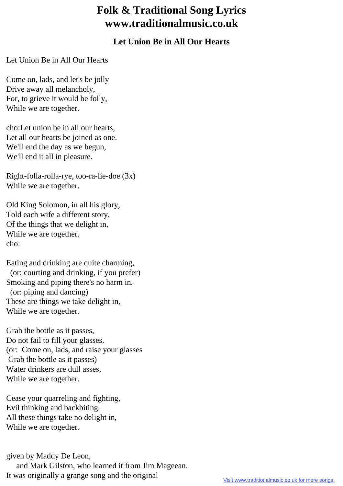## **Folk & Traditional Song Lyrics www.traditionalmusic.co.uk**

## **Let Union Be in All Our Hearts**

Let Union Be in All Our Hearts

Come on, lads, and let's be jolly Drive away all melancholy, For, to grieve it would be folly, While we are together.

cho:Let union be in all our hearts, Let all our hearts be joined as one. We'll end the day as we begun, We'll end it all in pleasure.

Right-folla-rolla-rye, too-ra-lie-doe (3x) While we are together.

Old King Solomon, in all his glory, Told each wife a different story, Of the things that we delight in, While we are together. cho:

Eating and drinking are quite charming, (or: courting and drinking, if you prefer) Smoking and piping there's no harm in. (or: piping and dancing) These are things we take delight in, While we are together.

Grab the bottle as it passes, Do not fail to fill your glasses. (or: Come on, lads, and raise your glasses Grab the bottle as it passes) Water drinkers are dull asses, While we are together.

Cease your quarreling and fighting, Evil thinking and backbiting. All these things take no delight in, While we are together.

given by Maddy De Leon, and Mark Gilston, who learned it from Jim Mageean. It was originally a grange song and the original